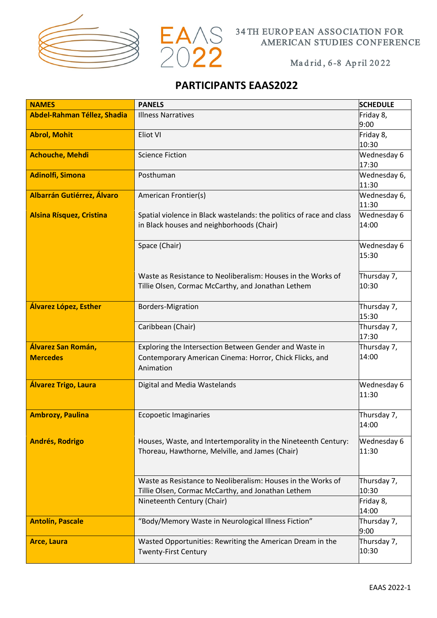



#### Ma d rid , 6 -8 Ap ril 20 22

# **PARTICIPANTS EAAS2022**

| <b>NAMES</b>                      | <b>PANELS</b>                                                        | <b>SCHEDULE</b>      |
|-----------------------------------|----------------------------------------------------------------------|----------------------|
| Abdel-Rahman Téllez, Shadia       | <b>Illness Narratives</b>                                            | Friday 8,            |
|                                   |                                                                      | 9:00                 |
| <b>Abrol, Mohit</b>               | Eliot VI                                                             | Friday 8,            |
|                                   |                                                                      | 10:30                |
| <b>Achouche, Mehdi</b>            | <b>Science Fiction</b>                                               | Wednesday 6          |
|                                   |                                                                      | 17:30                |
| <b>Adinolfi, Simona</b>           | Posthuman                                                            | Wednesday 6,         |
|                                   |                                                                      | 11:30                |
| <b>Albarrán Gutiérrez, Álvaro</b> | American Frontier(s)                                                 | Wednesday 6,         |
|                                   |                                                                      | 11:30                |
| <b>Alsina Rísquez, Cristina</b>   | Spatial violence in Black wastelands: the politics of race and class | Wednesday 6          |
|                                   | in Black houses and neighborhoods (Chair)                            | 14:00                |
|                                   |                                                                      |                      |
|                                   | Space (Chair)                                                        | Wednesday 6          |
|                                   |                                                                      | 15:30                |
|                                   |                                                                      |                      |
|                                   | Waste as Resistance to Neoliberalism: Houses in the Works of         | Thursday 7,          |
|                                   | Tillie Olsen, Cormac McCarthy, and Jonathan Lethem                   | 10:30                |
|                                   |                                                                      |                      |
| Álvarez López, Esther             | <b>Borders-Migration</b>                                             | Thursday 7,          |
|                                   |                                                                      | 15:30                |
|                                   | Caribbean (Chair)                                                    | Thursday 7,<br>17:30 |
| Álvarez San Román,                | Exploring the Intersection Between Gender and Waste in               | Thursday 7,          |
| <b>Mercedes</b>                   |                                                                      | 14:00                |
|                                   | Contemporary American Cinema: Horror, Chick Flicks, and<br>Animation |                      |
|                                   |                                                                      |                      |
| Álvarez Trigo, Laura              | Digital and Media Wastelands                                         | Wednesday 6          |
|                                   |                                                                      | 11:30                |
|                                   |                                                                      |                      |
| <b>Ambrozy, Paulina</b>           | <b>Ecopoetic Imaginaries</b>                                         | Thursday 7,          |
|                                   |                                                                      | 14:00                |
| <b>Andrés, Rodrigo</b>            | Houses, Waste, and Intertemporality in the Nineteenth Century:       | Wednesday 6          |
|                                   | Thoreau, Hawthorne, Melville, and James (Chair)                      | 11:30                |
|                                   |                                                                      |                      |
|                                   |                                                                      |                      |
|                                   | Waste as Resistance to Neoliberalism: Houses in the Works of         | Thursday 7,          |
|                                   | Tillie Olsen, Cormac McCarthy, and Jonathan Lethem                   | 10:30                |
|                                   | Nineteenth Century (Chair)                                           | Friday 8,            |
|                                   |                                                                      | 14:00                |
| <b>Antolín, Pascale</b>           | "Body/Memory Waste in Neurological Illness Fiction"                  | Thursday 7,          |
|                                   |                                                                      | 9:00                 |
| <b>Arce, Laura</b>                | Wasted Opportunities: Rewriting the American Dream in the            | Thursday 7,          |
|                                   | <b>Twenty-First Century</b>                                          | 10:30                |
|                                   |                                                                      |                      |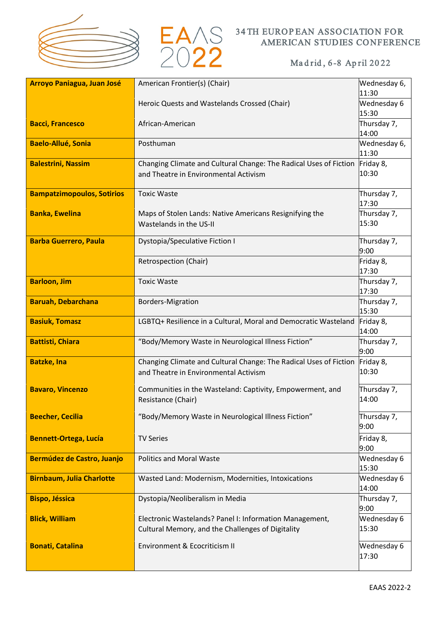



| <b>Arroyo Paniagua, Juan José</b> | American Frontier(s) (Chair)                                                                                 | Wednesday 6,         |
|-----------------------------------|--------------------------------------------------------------------------------------------------------------|----------------------|
|                                   |                                                                                                              | 11:30<br>Wednesday 6 |
|                                   | Heroic Quests and Wastelands Crossed (Chair)                                                                 | 15:30                |
| <b>Bacci, Francesco</b>           | African-American                                                                                             | Thursday 7,          |
|                                   |                                                                                                              | 14:00                |
| <b>Baelo-Allué, Sonia</b>         | Posthuman                                                                                                    | Wednesday 6,         |
|                                   |                                                                                                              | 11:30                |
| <b>Balestrini, Nassim</b>         | Changing Climate and Cultural Change: The Radical Uses of Fiction                                            | Friday 8,            |
|                                   | and Theatre in Environmental Activism                                                                        | 10:30                |
|                                   |                                                                                                              |                      |
| <b>Bampatzimopoulos, Sotirios</b> | <b>Toxic Waste</b>                                                                                           | Thursday 7,<br>17:30 |
| <b>Banka, Ewelina</b>             | Maps of Stolen Lands: Native Americans Resignifying the                                                      | Thursday 7,          |
|                                   | Wastelands in the US-II                                                                                      | 15:30                |
|                                   |                                                                                                              |                      |
| <b>Barba Guerrero, Paula</b>      | Dystopia/Speculative Fiction I                                                                               | Thursday 7,          |
|                                   |                                                                                                              | 9:00                 |
|                                   | Retrospection (Chair)                                                                                        | Friday 8,            |
| <b>Barloon, Jim</b>               | <b>Toxic Waste</b>                                                                                           | 17:30<br>Thursday 7, |
|                                   |                                                                                                              | 17:30                |
| <b>Baruah, Debarchana</b>         | <b>Borders-Migration</b>                                                                                     | Thursday 7,          |
|                                   |                                                                                                              | 15:30                |
| <b>Basiuk, Tomasz</b>             | LGBTQ+ Resilience in a Cultural, Moral and Democratic Wasteland                                              | Friday 8,            |
|                                   |                                                                                                              | 14:00                |
| <b>Battisti, Chiara</b>           | "Body/Memory Waste in Neurological Illness Fiction"                                                          | Thursday 7,          |
|                                   |                                                                                                              | 9:00                 |
| <b>Batzke, Ina</b>                | Changing Climate and Cultural Change: The Radical Uses of Fiction                                            | Friday 8,<br>10:30   |
|                                   | and Theatre in Environmental Activism                                                                        |                      |
| <b>Bavaro, Vincenzo</b>           | Communities in the Wasteland: Captivity, Empowerment, and                                                    | Thursday 7,          |
|                                   | Resistance (Chair)                                                                                           | 14:00                |
| <b>Beecher, Cecilia</b>           | "Body/Memory Waste in Neurological Illness Fiction"                                                          | Thursday 7,          |
|                                   |                                                                                                              | 9:00                 |
| <b>Bennett-Ortega, Lucía</b>      | <b>TV Series</b>                                                                                             | Friday 8,            |
|                                   |                                                                                                              | 9:00                 |
| <b>Bermúdez de Castro, Juanjo</b> | <b>Politics and Moral Waste</b>                                                                              | Wednesday 6          |
|                                   |                                                                                                              | 15:30                |
| <b>Birnbaum, Julia Charlotte</b>  | Wasted Land: Modernism, Modernities, Intoxications                                                           | Wednesday 6          |
|                                   |                                                                                                              | 14:00                |
| <b>Bispo, Jéssica</b>             | Dystopia/Neoliberalism in Media                                                                              | Thursday 7,          |
|                                   |                                                                                                              | 9:00                 |
| <b>Blick, William</b>             | Electronic Wastelands? Panel I: Information Management,<br>Cultural Memory, and the Challenges of Digitality | Wednesday 6<br>15:30 |
|                                   |                                                                                                              |                      |
| <b>Bonati, Catalina</b>           | Environment & Ecocriticism II                                                                                | Wednesday 6          |
|                                   |                                                                                                              | 17:30                |
|                                   |                                                                                                              |                      |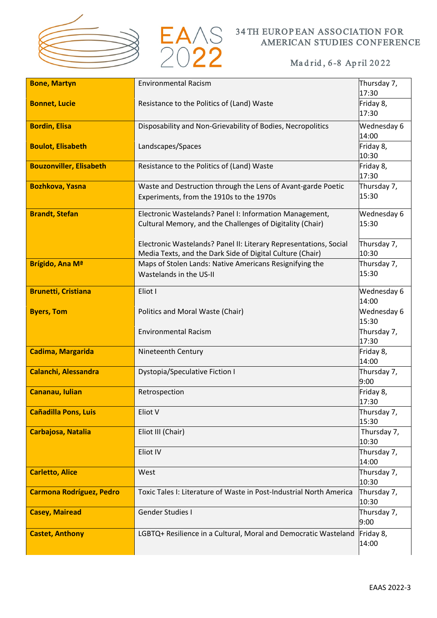



| <b>Bone, Martyn</b>             | <b>Environmental Racism</b>                                                                                                    | Thursday 7,<br>17:30 |
|---------------------------------|--------------------------------------------------------------------------------------------------------------------------------|----------------------|
|                                 |                                                                                                                                |                      |
| <b>Bonnet, Lucie</b>            | Resistance to the Politics of (Land) Waste                                                                                     | Friday 8,<br>17:30   |
| <b>Bordin, Elisa</b>            | Disposability and Non-Grievability of Bodies, Necropolitics                                                                    | Wednesday 6<br>14:00 |
| <b>Boulot, Elisabeth</b>        | Landscapes/Spaces                                                                                                              | Friday 8,<br>10:30   |
| <b>Bouzonviller, Elisabeth</b>  | Resistance to the Politics of (Land) Waste                                                                                     | Friday 8,            |
|                                 |                                                                                                                                | 17:30                |
| <b>Bozhkova, Yasna</b>          | Waste and Destruction through the Lens of Avant-garde Poetic<br>Experiments, from the 1910s to the 1970s                       | Thursday 7,<br>15:30 |
| <b>Brandt, Stefan</b>           | Electronic Wastelands? Panel I: Information Management,                                                                        | Wednesday 6          |
|                                 | Cultural Memory, and the Challenges of Digitality (Chair)                                                                      | 15:30                |
|                                 |                                                                                                                                |                      |
|                                 | Electronic Wastelands? Panel II: Literary Representations, Social<br>Media Texts, and the Dark Side of Digital Culture (Chair) | Thursday 7,<br>10:30 |
| Brígido, Ana Mª                 | Maps of Stolen Lands: Native Americans Resignifying the                                                                        | Thursday 7,          |
|                                 | Wastelands in the US-II                                                                                                        | 15:30                |
|                                 |                                                                                                                                |                      |
| <b>Brunetti, Cristiana</b>      | Eliot I                                                                                                                        | Wednesday 6<br>14:00 |
| <b>Byers, Tom</b>               | Politics and Moral Waste (Chair)                                                                                               | Wednesday 6          |
|                                 |                                                                                                                                | 15:30                |
|                                 | <b>Environmental Racism</b>                                                                                                    | Thursday 7,          |
|                                 |                                                                                                                                | 17:30                |
| <b>Cadima, Margarida</b>        | Nineteenth Century                                                                                                             | Friday 8,<br>14:00   |
| <b>Calanchi, Alessandra</b>     | <b>Dystopia/Speculative Fiction I</b>                                                                                          | Thursday 7,<br>9:00  |
| Cananau, Iulian                 | Retrospection                                                                                                                  | Friday 8,            |
|                                 |                                                                                                                                | 17:30                |
| <b>Cañadilla Pons, Luis</b>     | Eliot V                                                                                                                        | Thursday 7,          |
|                                 |                                                                                                                                | 15:30                |
| Carbajosa, Natalia              | Eliot III (Chair)                                                                                                              | Thursday 7,          |
|                                 | Eliot IV                                                                                                                       | 10:30<br>Thursday 7, |
|                                 |                                                                                                                                | 14:00                |
| <b>Carletto, Alice</b>          | West                                                                                                                           | Thursday 7,          |
|                                 |                                                                                                                                | 10:30                |
| <b>Carmona Rodríguez, Pedro</b> | Toxic Tales I: Literature of Waste in Post-Industrial North America                                                            | Thursday 7,<br>10:30 |
| <b>Casey, Mairead</b>           | Gender Studies I                                                                                                               | Thursday 7,          |
|                                 |                                                                                                                                | 9:00                 |
| <b>Castet, Anthony</b>          | LGBTQ+ Resilience in a Cultural, Moral and Democratic Wasteland                                                                | Friday 8,<br>14:00   |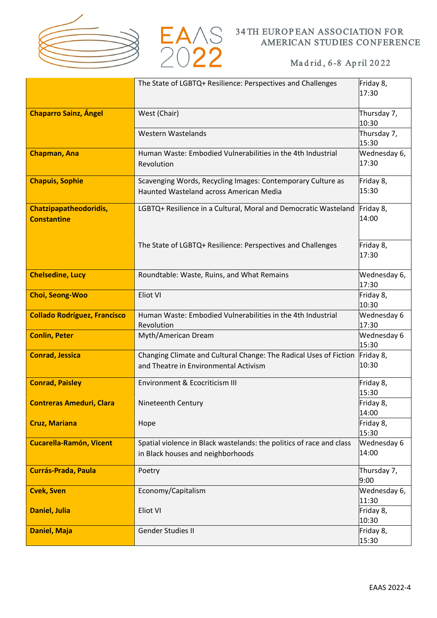



|                                              | The State of LGBTQ+ Resilience: Perspectives and Challenges                                                | Friday 8,<br>17:30    |
|----------------------------------------------|------------------------------------------------------------------------------------------------------------|-----------------------|
| <b>Chaparro Sainz, Ángel</b>                 | West (Chair)                                                                                               | Thursday 7,<br>10:30  |
|                                              | <b>Western Wastelands</b>                                                                                  | Thursday 7,<br>15:30  |
| <b>Chapman, Ana</b>                          | Human Waste: Embodied Vulnerabilities in the 4th Industrial<br>Revolution                                  | Wednesday 6,<br>17:30 |
| <b>Chapuis, Sophie</b>                       | Scavenging Words, Recycling Images: Contemporary Culture as<br>Haunted Wasteland across American Media     | Friday 8,<br>15:30    |
| Chatzipapatheodoridis,<br><b>Constantine</b> | LGBTQ+ Resilience in a Cultural, Moral and Democratic Wasteland                                            | Friday 8,<br>14:00    |
|                                              | The State of LGBTQ+ Resilience: Perspectives and Challenges                                                | Friday 8,<br>17:30    |
| <b>Chelsedine, Lucy</b>                      | Roundtable: Waste, Ruins, and What Remains                                                                 | Wednesday 6,<br>17:30 |
| <b>Choi, Seong-Woo</b>                       | Eliot VI                                                                                                   | Friday 8,<br>10:30    |
| <b>Collado Rodríguez, Francisco</b>          | Human Waste: Embodied Vulnerabilities in the 4th Industrial<br>Revolution                                  | Wednesday 6<br>17:30  |
| <b>Conlin, Peter</b>                         | Myth/American Dream                                                                                        | Wednesday 6<br>15:30  |
| <b>Conrad, Jessica</b>                       | Changing Climate and Cultural Change: The Radical Uses of Fiction<br>and Theatre in Environmental Activism | Friday 8,<br>10:30    |
| <b>Conrad, Paisley</b>                       | Environment & Ecocriticism III                                                                             | Friday 8,<br>15:30    |
| <b>Contreras Ameduri, Clara</b>              | Nineteenth Century                                                                                         | Friday 8,<br>14:00    |
| <b>Cruz, Mariana</b>                         | Hope                                                                                                       | Friday 8,<br>15:30    |
| <b>Cucarella-Ramón, Vicent</b>               | Spatial violence in Black wastelands: the politics of race and class<br>in Black houses and neighborhoods  | Wednesday 6<br>14:00  |
| <b>Currás-Prada, Paula</b>                   | Poetry                                                                                                     | Thursday 7,<br>9:00   |
| <b>Cvek, Sven</b>                            | Economy/Capitalism                                                                                         | Wednesday 6,<br>11:30 |
| <b>Daniel, Julia</b>                         | Eliot VI                                                                                                   | Friday 8,<br>10:30    |
| <b>Daniel, Maja</b>                          | Gender Studies II                                                                                          | Friday 8,<br>15:30    |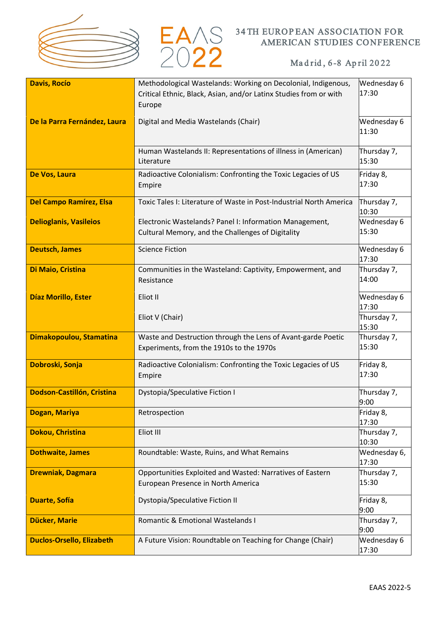



| <b>Davis, Rocío</b>              | Methodological Wastelands: Working on Decolonial, Indigenous,<br>Critical Ethnic, Black, Asian, and/or Latinx Studies from or with<br>Europe | Wednesday 6<br>17:30  |
|----------------------------------|----------------------------------------------------------------------------------------------------------------------------------------------|-----------------------|
| De la Parra Fernández, Laura     | Digital and Media Wastelands (Chair)                                                                                                         | Wednesday 6<br>11:30  |
|                                  | Human Wastelands II: Representations of illness in (American)<br>Literature                                                                  | Thursday 7,<br>15:30  |
| De Vos, Laura                    | Radioactive Colonialism: Confronting the Toxic Legacies of US<br>Empire                                                                      | Friday 8,<br>17:30    |
| <b>Del Campo Ramírez, Elsa</b>   | Toxic Tales I: Literature of Waste in Post-Industrial North America                                                                          | Thursday 7,<br>10:30  |
| <b>Delioglanis, Vasileios</b>    | Electronic Wastelands? Panel I: Information Management,<br>Cultural Memory, and the Challenges of Digitality                                 | Wednesday 6<br>15:30  |
| <b>Deutsch, James</b>            | <b>Science Fiction</b>                                                                                                                       | Wednesday 6<br>17:30  |
| Di Maio, Cristina                | Communities in the Wasteland: Captivity, Empowerment, and<br>Resistance                                                                      | Thursday 7,<br>14:00  |
| Díaz Morillo, Ester              | Eliot II                                                                                                                                     | Wednesday 6<br>17:30  |
|                                  | Eliot V (Chair)                                                                                                                              | Thursday 7,<br>15:30  |
| Dimakopoulou, Stamatina          | Waste and Destruction through the Lens of Avant-garde Poetic<br>Experiments, from the 1910s to the 1970s                                     | Thursday 7,<br>15:30  |
| Dobroski, Sonja                  | Radioactive Colonialism: Confronting the Toxic Legacies of US<br>Empire                                                                      | Friday 8,<br>17:30    |
| Dodson-Castillón, Cristina       | Dystopia/Speculative Fiction I                                                                                                               | Thursday 7,<br>9:00   |
| Dogan, Mariya                    | Retrospection                                                                                                                                | Friday 8,<br>17:30    |
| <b>Dokou, Christina</b>          | Eliot III                                                                                                                                    | Thursday 7,<br>10:30  |
| <b>Dothwaite, James</b>          | Roundtable: Waste, Ruins, and What Remains                                                                                                   | Wednesday 6,<br>17:30 |
| <b>Drewniak, Dagmara</b>         | Opportunities Exploited and Wasted: Narratives of Eastern<br>European Presence in North America                                              | Thursday 7,<br>15:30  |
| <b>Duarte, Sofía</b>             | <b>Dystopia/Speculative Fiction II</b>                                                                                                       | Friday 8,<br>9:00     |
| Dücker, Marie                    | Romantic & Emotional Wastelands I                                                                                                            | Thursday 7,<br>9:00   |
| <b>Duclos-Orsello, Elizabeth</b> | A Future Vision: Roundtable on Teaching for Change (Chair)                                                                                   | Wednesday 6<br>17:30  |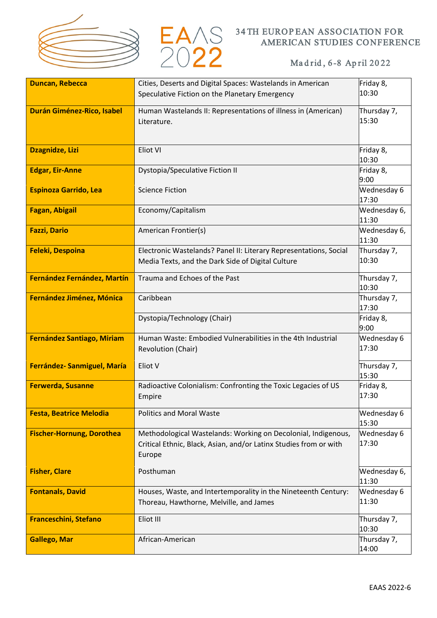



| <b>Duncan, Rebecca</b>            | Cities, Deserts and Digital Spaces: Wastelands in American        | Friday 8,          |
|-----------------------------------|-------------------------------------------------------------------|--------------------|
|                                   | Speculative Fiction on the Planetary Emergency                    | 10:30              |
|                                   |                                                                   |                    |
| Durán Giménez-Rico, Isabel        | Human Wastelands II: Representations of illness in (American)     | Thursday 7,        |
|                                   | Literature.                                                       | 15:30              |
|                                   |                                                                   |                    |
|                                   | Eliot VI                                                          |                    |
| <b>Dzagnidze, Lizi</b>            |                                                                   | Friday 8,<br>10:30 |
| <b>Edgar, Eir-Anne</b>            | <b>Dystopia/Speculative Fiction II</b>                            | Friday 8,          |
|                                   |                                                                   | 9:00               |
| <b>Espinoza Garrido, Lea</b>      | <b>Science Fiction</b>                                            | Wednesday 6        |
|                                   |                                                                   | 17:30              |
| <b>Fagan, Abigail</b>             | Economy/Capitalism                                                | Wednesday 6,       |
|                                   |                                                                   | 11:30              |
| <b>Fazzi, Dario</b>               | American Frontier(s)                                              | Wednesday 6,       |
|                                   |                                                                   | 11:30              |
| <b>Feleki, Despoina</b>           | Electronic Wastelands? Panel II: Literary Representations, Social | Thursday 7,        |
|                                   | Media Texts, and the Dark Side of Digital Culture                 | 10:30              |
|                                   |                                                                   |                    |
| Fernández Fernández, Martín       | Trauma and Echoes of the Past                                     | Thursday 7,        |
|                                   |                                                                   | 10:30              |
| Fernández Jiménez, Mónica         | Caribbean                                                         | Thursday 7,        |
|                                   |                                                                   | 17:30              |
|                                   | Dystopia/Technology (Chair)                                       | Friday 8,          |
|                                   |                                                                   | 9:00               |
| <b>Fernández Santiago, Miriam</b> | Human Waste: Embodied Vulnerabilities in the 4th Industrial       | Wednesday 6        |
|                                   | Revolution (Chair)                                                | 17:30              |
| Ferrández- Sanmiguel, María       | Eliot V                                                           | Thursday 7,        |
|                                   |                                                                   | 15:30              |
| <b>Ferwerda, Susanne</b>          | Radioactive Colonialism: Confronting the Toxic Legacies of US     | Friday 8,          |
|                                   | Empire                                                            | 17:30              |
|                                   |                                                                   |                    |
| <b>Festa, Beatrice Melodia</b>    | <b>Politics and Moral Waste</b>                                   | Wednesday 6        |
|                                   |                                                                   | 15:30              |
| <b>Fischer-Hornung, Dorothea</b>  | Methodological Wastelands: Working on Decolonial, Indigenous,     | Wednesday 6        |
|                                   | Critical Ethnic, Black, Asian, and/or Latinx Studies from or with | 17:30              |
|                                   | Europe                                                            |                    |
| <b>Fisher, Clare</b>              | Posthuman                                                         | Wednesday 6,       |
|                                   |                                                                   | 11:30              |
| <b>Fontanals, David</b>           | Houses, Waste, and Intertemporality in the Nineteenth Century:    | Wednesday 6        |
|                                   | Thoreau, Hawthorne, Melville, and James                           | 11:30              |
|                                   |                                                                   |                    |
| <b>Franceschini, Stefano</b>      | Eliot III                                                         | Thursday 7,        |
|                                   |                                                                   | 10:30              |
| <b>Gallego, Mar</b>               | African-American                                                  | Thursday 7,        |
|                                   |                                                                   | 14:00              |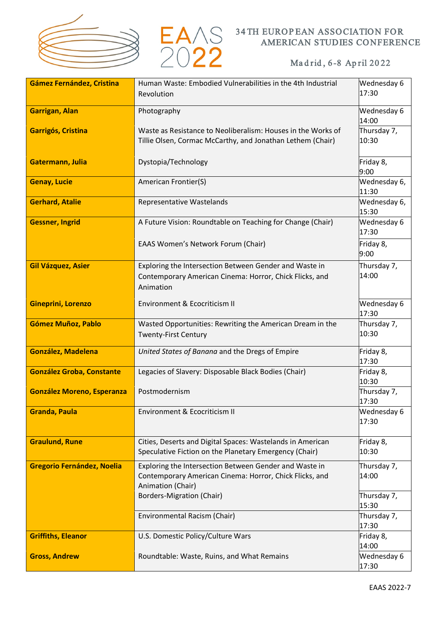



| Gámez Fernández, Cristina         | Human Waste: Embodied Vulnerabilities in the 4th Industrial                                                                            | Wednesday 6           |
|-----------------------------------|----------------------------------------------------------------------------------------------------------------------------------------|-----------------------|
|                                   | Revolution                                                                                                                             | 17:30                 |
| <b>Garrigan, Alan</b>             | Photography                                                                                                                            | Wednesday 6<br>14:00  |
| Garrigós, Cristina                | Waste as Resistance to Neoliberalism: Houses in the Works of<br>Tillie Olsen, Cormac McCarthy, and Jonathan Lethem (Chair)             | Thursday 7,<br>10:30  |
| Gatermann, Julia                  | Dystopia/Technology                                                                                                                    | Friday 8,<br>9:00     |
| <b>Genay, Lucie</b>               | American Frontier(S)                                                                                                                   | Wednesday 6,<br>11:30 |
| <b>Gerhard, Atalie</b>            | Representative Wastelands                                                                                                              | Wednesday 6,<br>15:30 |
| <b>Gessner, Ingrid</b>            | A Future Vision: Roundtable on Teaching for Change (Chair)                                                                             | Wednesday 6<br>17:30  |
|                                   | EAAS Women's Network Forum (Chair)                                                                                                     | Friday 8,<br>9:00     |
| <b>Gil Vázquez, Asier</b>         | Exploring the Intersection Between Gender and Waste in<br>Contemporary American Cinema: Horror, Chick Flicks, and<br>Animation         | Thursday 7,<br>14:00  |
| Gineprini, Lorenzo                | Environment & Ecocriticism II                                                                                                          | Wednesday 6<br>17:30  |
| Gómez Muñoz, Pablo                | Wasted Opportunities: Rewriting the American Dream in the<br><b>Twenty-First Century</b>                                               | Thursday 7,<br>10:30  |
| <b>González, Madelena</b>         | United States of Banana and the Dregs of Empire                                                                                        | Friday 8,<br>17:30    |
| <b>González Groba, Constante</b>  | Legacies of Slavery: Disposable Black Bodies (Chair)                                                                                   | Friday 8,<br>10:30    |
| <b>González Moreno, Esperanza</b> | Postmodernism                                                                                                                          | Thursday 7,<br>17:30  |
| <b>Granda, Paula</b>              | Environment & Ecocriticism II                                                                                                          | Wednesday 6<br>17:30  |
| <b>Graulund, Rune</b>             | Cities, Deserts and Digital Spaces: Wastelands in American<br>Speculative Fiction on the Planetary Emergency (Chair)                   | Friday 8,<br>10:30    |
| <b>Gregorio Fernández, Noelia</b> | Exploring the Intersection Between Gender and Waste in<br>Contemporary American Cinema: Horror, Chick Flicks, and<br>Animation (Chair) | Thursday 7,<br>14:00  |
|                                   | <b>Borders-Migration (Chair)</b>                                                                                                       | Thursday 7,<br>15:30  |
|                                   | Environmental Racism (Chair)                                                                                                           | Thursday 7,<br>17:30  |
| <b>Griffiths, Eleanor</b>         | U.S. Domestic Policy/Culture Wars                                                                                                      | Friday 8,<br>14:00    |
| <b>Gross, Andrew</b>              | Roundtable: Waste, Ruins, and What Remains                                                                                             | Wednesday 6<br>17:30  |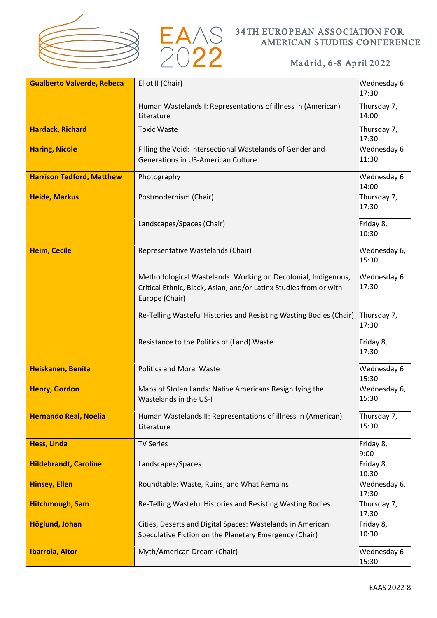



| <b>Gualberto Valverde, Rebeca</b> | Eliot II (Chair)                                                                                                                                     | Wednesday 6<br>17:30  |
|-----------------------------------|------------------------------------------------------------------------------------------------------------------------------------------------------|-----------------------|
|                                   | Human Wastelands I: Representations of illness in (American)<br>Literature                                                                           | Thursday 7,<br>14:00  |
| <b>Hardack, Richard</b>           | <b>Toxic Waste</b>                                                                                                                                   | Thursday 7,<br>17:30  |
| <b>Haring, Nicole</b>             | Filling the Void: Intersectional Wastelands of Gender and<br>Generations in US-American Culture                                                      | Wednesday 6<br>11:30  |
| <b>Harrison Tedford, Matthew</b>  | Photography                                                                                                                                          | Wednesday 6<br>14:00  |
| <b>Heide, Markus</b>              | Postmodernism (Chair)                                                                                                                                | Thursday 7,<br>17:30  |
|                                   | Landscapes/Spaces (Chair)                                                                                                                            | Friday 8,<br>10:30    |
| <b>Heim, Cecile</b>               | Representative Wastelands (Chair)                                                                                                                    | Wednesday 6,<br>15:30 |
|                                   | Methodological Wastelands: Working on Decolonial, Indigenous,<br>Critical Ethnic, Black, Asian, and/or Latinx Studies from or with<br>Europe (Chair) | Wednesday 6<br>17:30  |
|                                   | Re-Telling Wasteful Histories and Resisting Wasting Bodies (Chair)                                                                                   | Thursday 7,<br>17:30  |
|                                   | Resistance to the Politics of (Land) Waste                                                                                                           | Friday 8,<br>17:30    |
| Heiskanen, Benita                 | <b>Politics and Moral Waste</b>                                                                                                                      | Wednesday 6<br>15:30  |
| <b>Henry, Gordon</b>              | Maps of Stolen Lands: Native Americans Resignifying the<br>Wastelands in the US-I                                                                    | Wednesday 6,<br>15:30 |
| <b>Hernando Real, Noelia</b>      | Human Wastelands II: Representations of illness in (American)<br>Literature                                                                          | Thursday 7,<br>15:30  |
| <b>Hess, Linda</b>                | <b>TV Series</b>                                                                                                                                     | Friday 8,<br>9:00     |
| <b>Hildebrandt, Caroline</b>      | Landscapes/Spaces                                                                                                                                    | Friday 8,<br>10:30    |
| <b>Hinsey, Ellen</b>              | Roundtable: Waste, Ruins, and What Remains                                                                                                           | Wednesday 6,<br>17:30 |
| <b>Hitchmough, Sam</b>            | Re-Telling Wasteful Histories and Resisting Wasting Bodies                                                                                           | Thursday 7,<br>17:30  |
| Höglund, Johan                    | Cities, Deserts and Digital Spaces: Wastelands in American<br>Speculative Fiction on the Planetary Emergency (Chair)                                 | Friday 8,<br>10:30    |
| <b>Ibarrola, Aitor</b>            | Myth/American Dream (Chair)                                                                                                                          | Wednesday 6<br>15:30  |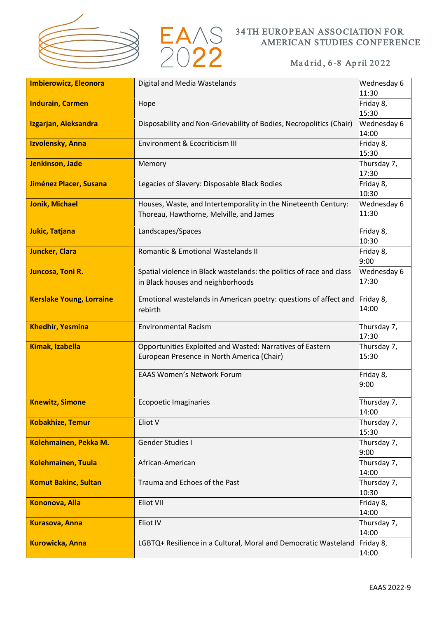



| <b>Imbierowicz, Eleonora</b>    | Digital and Media Wastelands                                         | Wednesday 6          |
|---------------------------------|----------------------------------------------------------------------|----------------------|
|                                 |                                                                      | 11:30                |
| <b>Indurain, Carmen</b>         | Hope                                                                 | Friday 8,            |
|                                 |                                                                      | 15:30                |
| Izgarjan, Aleksandra            | Disposability and Non-Grievability of Bodies, Necropolitics (Chair)  | Wednesday 6          |
|                                 |                                                                      | 14:00                |
| Izvolensky, Anna                | Environment & Ecocriticism III                                       | Friday 8,            |
|                                 |                                                                      | 15:30                |
| Jenkinson, Jade                 | Memory                                                               | Thursday 7,          |
|                                 |                                                                      | 17:30                |
| Jiménez Placer, Susana          | Legacies of Slavery: Disposable Black Bodies                         | Friday 8,            |
|                                 |                                                                      | 10:30                |
| <b>Jonik, Michael</b>           | Houses, Waste, and Intertemporality in the Nineteenth Century:       | Wednesday 6          |
|                                 | Thoreau, Hawthorne, Melville, and James                              | 11:30                |
|                                 |                                                                      |                      |
| <b>Jukic, Tatjana</b>           | Landscapes/Spaces                                                    | Friday 8,            |
|                                 |                                                                      | 10:30                |
| <b>Juncker, Clara</b>           | Romantic & Emotional Wastelands II                                   | Friday 8,            |
|                                 |                                                                      | 9:00                 |
| Juncosa, Toni R.                | Spatial violence in Black wastelands: the politics of race and class | Wednesday 6          |
|                                 | in Black houses and neighborhoods                                    | 17:30                |
| <b>Kerslake Young, Lorraine</b> | Emotional wastelands in American poetry: questions of affect and     | Friday 8,            |
|                                 | rebirth                                                              | 14:00                |
|                                 |                                                                      |                      |
| <b>Khedhir, Yesmina</b>         | <b>Environmental Racism</b>                                          | Thursday 7,          |
|                                 |                                                                      | 17:30                |
| <b>Kimak, Izabella</b>          | Opportunities Exploited and Wasted: Narratives of Eastern            | Thursday 7,          |
|                                 | European Presence in North America (Chair)                           | 15:30                |
|                                 |                                                                      |                      |
|                                 | <b>EAAS Women's Network Forum</b>                                    | Friday 8,            |
|                                 |                                                                      | 9:00                 |
| <b>Knewitz, Simone</b>          | <b>Ecopoetic Imaginaries</b>                                         | Thursday 7,          |
|                                 |                                                                      | 14:00                |
| <b>Kobakhize, Temur</b>         | Eliot V                                                              | Thursday 7,          |
|                                 |                                                                      | 15:30                |
| Kolehmainen, Pekka M.           | <b>Gender Studies I</b>                                              | Thursday 7,          |
|                                 |                                                                      |                      |
|                                 |                                                                      |                      |
|                                 |                                                                      | 9:00                 |
| <b>Kolehmainen, Tuula</b>       | African-American                                                     | Thursday 7,          |
|                                 |                                                                      | 14:00                |
| <b>Komut Bakinc, Sultan</b>     | Trauma and Echoes of the Past                                        | Thursday 7,<br>10:30 |
|                                 | Eliot VII                                                            |                      |
| <b>Kononova, Alla</b>           |                                                                      | Friday 8,<br>14:00   |
|                                 | Eliot IV                                                             |                      |
| <b>Kurasova, Anna</b>           |                                                                      | Thursday 7,<br>14:00 |
| <b>Kurowicka, Anna</b>          | LGBTQ+ Resilience in a Cultural, Moral and Democratic Wasteland      | Friday 8,            |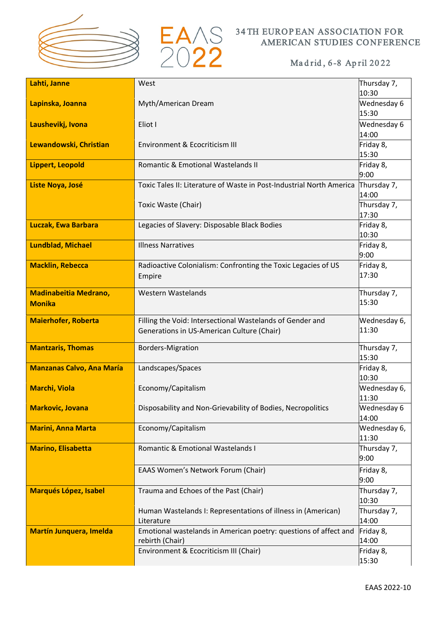



| Lahti, Janne                     | West                                                                 | Thursday 7,          |
|----------------------------------|----------------------------------------------------------------------|----------------------|
|                                  |                                                                      | 10:30                |
| Lapinska, Joanna                 | Myth/American Dream                                                  | Wednesday 6          |
|                                  |                                                                      | 15:30                |
| Laushevikj, Ivona                | Eliot I                                                              | Wednesday 6          |
|                                  |                                                                      | 14:00                |
| Lewandowski, Christian           | Environment & Ecocriticism III                                       | Friday 8,            |
|                                  |                                                                      | 15:30                |
| <b>Lippert, Leopold</b>          | Romantic & Emotional Wastelands II                                   | Friday 8,            |
|                                  |                                                                      | 9:00                 |
| Liste Noya, José                 | Toxic Tales II: Literature of Waste in Post-Industrial North America | Thursday 7,          |
|                                  |                                                                      | 14:00                |
|                                  | Toxic Waste (Chair)                                                  | Thursday 7,          |
|                                  |                                                                      | 17:30                |
| <b>Luczak, Ewa Barbara</b>       | Legacies of Slavery: Disposable Black Bodies                         | Friday 8,            |
|                                  |                                                                      | 10:30                |
| <b>Lundblad, Michael</b>         | <b>Illness Narratives</b>                                            | Friday 8,            |
|                                  |                                                                      | 9:00                 |
| <b>Macklin, Rebecca</b>          | Radioactive Colonialism: Confronting the Toxic Legacies of US        | Friday 8,            |
|                                  | Empire                                                               | 17:30                |
|                                  |                                                                      |                      |
| <b>Madinabeitia Medrano,</b>     | <b>Western Wastelands</b>                                            | Thursday 7,<br>15:30 |
| <b>Monika</b>                    |                                                                      |                      |
| <b>Maierhofer, Roberta</b>       | Filling the Void: Intersectional Wastelands of Gender and            | Wednesday 6,         |
|                                  | Generations in US-American Culture (Chair)                           | 11:30                |
|                                  |                                                                      |                      |
| <b>Mantzaris, Thomas</b>         | <b>Borders-Migration</b>                                             | Thursday 7,          |
|                                  |                                                                      | 15:30                |
| <b>Manzanas Calvo, Ana María</b> | Landscapes/Spaces                                                    | Friday 8,            |
|                                  |                                                                      | 10:30                |
| <b>Marchi, Viola</b>             | Economy/Capitalism                                                   | Wednesday 6,         |
|                                  |                                                                      | 11:30                |
| <b>Markovic, Jovana</b>          | Disposability and Non-Grievability of Bodies, Necropolitics          | Wednesday 6          |
|                                  |                                                                      | 14:00                |
| <b>Marini, Anna Marta</b>        | Economy/Capitalism                                                   | Wednesday 6,         |
|                                  |                                                                      | 11:30                |
| <b>Marino, Elisabetta</b>        | Romantic & Emotional Wastelands I                                    | Thursday 7,<br>9:00  |
|                                  |                                                                      |                      |
|                                  | EAAS Women's Network Forum (Chair)                                   | Friday 8,            |
|                                  |                                                                      | 9:00                 |
| <b>Marqués López, Isabel</b>     | Trauma and Echoes of the Past (Chair)                                | Thursday 7,          |
|                                  |                                                                      | 10:30                |
|                                  | Human Wastelands I: Representations of illness in (American)         | Thursday 7,          |
|                                  | Literature                                                           | 14:00                |
| <b>Martín Junquera, Imelda</b>   | Emotional wastelands in American poetry: questions of affect and     | Friday 8,            |
|                                  | rebirth (Chair)                                                      | 14:00                |
|                                  | Environment & Ecocriticism III (Chair)                               | Friday 8,<br>15:30   |
|                                  |                                                                      |                      |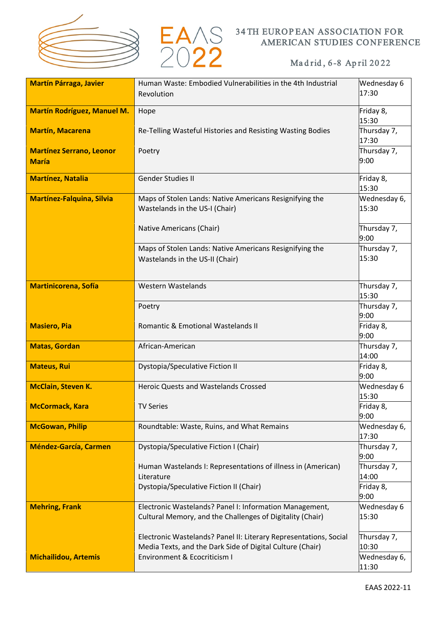



| <b>Martín Párraga, Javier</b>      | Human Waste: Embodied Vulnerabilities in the 4th Industrial       | Wednesday 6           |
|------------------------------------|-------------------------------------------------------------------|-----------------------|
|                                    | Revolution                                                        | 17:30                 |
| <b>Martín Rodríguez, Manuel M.</b> | Hope                                                              | Friday 8,             |
|                                    |                                                                   | 15:30                 |
| <b>Martín, Macarena</b>            | Re-Telling Wasteful Histories and Resisting Wasting Bodies        | Thursday 7,<br>17:30  |
| <b>Martínez Serrano, Leonor</b>    | Poetry                                                            | Thursday 7,           |
| <b>María</b>                       |                                                                   | 9:00                  |
| <b>Martínez, Natalia</b>           | Gender Studies II                                                 | Friday 8,<br>15:30    |
| <b>Martínez-Falquina, Silvia</b>   | Maps of Stolen Lands: Native Americans Resignifying the           | Wednesday 6,          |
|                                    | Wastelands in the US-I (Chair)                                    | 15:30                 |
|                                    | Native Americans (Chair)                                          | Thursday 7,           |
|                                    |                                                                   | 9:00                  |
|                                    | Maps of Stolen Lands: Native Americans Resignifying the           | Thursday 7,           |
|                                    | Wastelands in the US-II (Chair)                                   | 15:30                 |
|                                    |                                                                   |                       |
| <b>Martinicorena, Sofía</b>        | Western Wastelands                                                | Thursday 7,<br>15:30  |
|                                    | Poetry                                                            | Thursday 7,           |
|                                    |                                                                   | 9:00                  |
| <b>Masiero, Pia</b>                | Romantic & Emotional Wastelands II                                | Friday 8,<br>9:00     |
| <b>Matas, Gordan</b>               | African-American                                                  | Thursday 7,           |
| <b>Mateus, Rui</b>                 | Dystopia/Speculative Fiction II                                   | 14:00<br>Friday 8,    |
|                                    |                                                                   | 9:00                  |
| <b>McClain, Steven K.</b>          | <b>Heroic Quests and Wastelands Crossed</b>                       | Wednesday 6           |
| <b>McCormack, Kara</b>             | <b>TV Series</b>                                                  | 15:30<br>Friday 8,    |
|                                    |                                                                   | 9:00                  |
| <b>McGowan, Philip</b>             | Roundtable: Waste, Ruins, and What Remains                        | Wednesday 6,          |
| <b>Méndez-García, Carmen</b>       | Dystopia/Speculative Fiction I (Chair)                            | 17:30<br>Thursday 7,  |
|                                    |                                                                   | 9:00                  |
|                                    | Human Wastelands I: Representations of illness in (American)      | Thursday 7,           |
|                                    | Literature<br>Dystopia/Speculative Fiction II (Chair)             | 14:00<br>Friday 8,    |
|                                    |                                                                   | 9:00                  |
| <b>Mehring, Frank</b>              | Electronic Wastelands? Panel I: Information Management,           | Wednesday 6           |
|                                    | Cultural Memory, and the Challenges of Digitality (Chair)         | 15:30                 |
|                                    | Electronic Wastelands? Panel II: Literary Representations, Social | Thursday 7,           |
|                                    | Media Texts, and the Dark Side of Digital Culture (Chair)         | 10:30                 |
| <b>Michailidou, Artemis</b>        | Environment & Ecocriticism I                                      | Wednesday 6,<br>11:30 |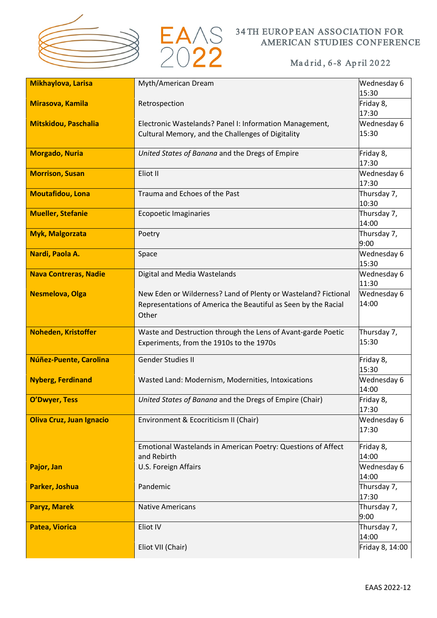



| Mikhaylova, Larisa              | Myth/American Dream                                                         | Wednesday 6          |
|---------------------------------|-----------------------------------------------------------------------------|----------------------|
|                                 |                                                                             | 15:30                |
| Mirasova, Kamila                | Retrospection                                                               | Friday 8,<br>17:30   |
| Mitskidou, Paschalia            | Electronic Wastelands? Panel I: Information Management,                     | Wednesday 6          |
|                                 | Cultural Memory, and the Challenges of Digitality                           | 15:30                |
| <b>Morgado, Nuria</b>           | United States of Banana and the Dregs of Empire                             | Friday 8,<br>17:30   |
| <b>Morrison, Susan</b>          | Eliot II                                                                    | Wednesday 6<br>17:30 |
| <b>Moutafidou, Lona</b>         | Trauma and Echoes of the Past                                               | Thursday 7,<br>10:30 |
| <b>Mueller, Stefanie</b>        | <b>Ecopoetic Imaginaries</b>                                                | Thursday 7,<br>14:00 |
| <b>Myk, Malgorzata</b>          | Poetry                                                                      | Thursday 7,<br>9:00  |
| Nardi, Paola A.                 | Space                                                                       | Wednesday 6<br>15:30 |
| <b>Nava Contreras, Nadie</b>    | Digital and Media Wastelands                                                | Wednesday 6<br>11:30 |
| <b>Nesmelova, Olga</b>          | New Eden or Wilderness? Land of Plenty or Wasteland? Fictional              | Wednesday 6          |
|                                 | Representations of America the Beautiful as Seen by the Racial<br>Other     | 14:00                |
| <b>Noheden, Kristoffer</b>      | Waste and Destruction through the Lens of Avant-garde Poetic                | Thursday 7,          |
|                                 | Experiments, from the 1910s to the 1970s                                    | 15:30                |
| Núñez-Puente, Carolina          | <b>Gender Studies II</b>                                                    | Friday 8,<br>15:30   |
| <b>Nyberg, Ferdinand</b>        | Wasted Land: Modernism, Modernities, Intoxications                          | Wednesday 6<br>14:00 |
| <b>O'Dwyer, Tess</b>            | United States of Banana and the Dregs of Empire (Chair)                     | Friday 8,<br>17:30   |
| <b>Oliva Cruz, Juan Ignacio</b> | Environment & Ecocriticism II (Chair)                                       | Wednesday 6<br>17:30 |
|                                 | Emotional Wastelands in American Poetry: Questions of Affect<br>and Rebirth | Friday 8,<br>14:00   |
| Pajor, Jan                      | U.S. Foreign Affairs                                                        | Wednesday 6<br>14:00 |
| Parker, Joshua                  | Pandemic                                                                    | Thursday 7,<br>17:30 |
| <b>Paryz, Marek</b>             | <b>Native Americans</b>                                                     | Thursday 7,<br>9:00  |
| <b>Patea, Viorica</b>           | Eliot IV                                                                    | Thursday 7,<br>14:00 |
|                                 | Eliot VII (Chair)                                                           | Friday 8, 14:00      |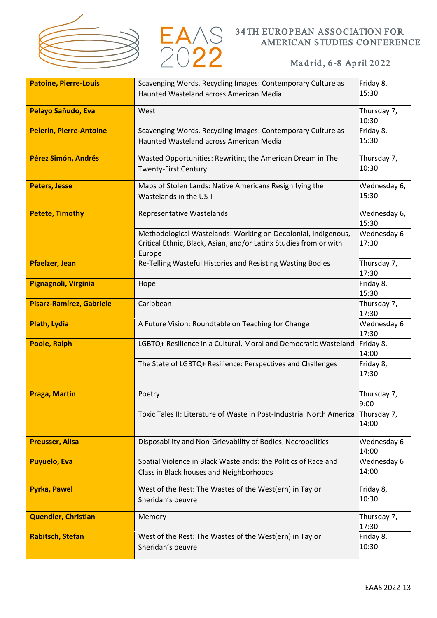



| <b>Patoine, Pierre-Louis</b>    | Scavenging Words, Recycling Images: Contemporary Culture as                                                                        | Friday 8,            |
|---------------------------------|------------------------------------------------------------------------------------------------------------------------------------|----------------------|
|                                 | Haunted Wasteland across American Media                                                                                            | 15:30                |
| Pelayo Sañudo, Eva              | West                                                                                                                               | Thursday 7,<br>10:30 |
| <b>Pelerín, Pierre-Antoine</b>  | Scavenging Words, Recycling Images: Contemporary Culture as                                                                        | Friday 8,            |
|                                 | Haunted Wasteland across American Media                                                                                            | 15:30                |
| Pérez Simón, Andrés             | Wasted Opportunities: Rewriting the American Dream in The                                                                          | Thursday 7,          |
|                                 | <b>Twenty-First Century</b>                                                                                                        | 10:30                |
| <b>Peters, Jesse</b>            | Maps of Stolen Lands: Native Americans Resignifying the                                                                            | Wednesday 6,         |
|                                 | Wastelands in the US-I                                                                                                             | 15:30                |
| <b>Petete, Timothy</b>          | <b>Representative Wastelands</b>                                                                                                   | Wednesday 6,         |
|                                 |                                                                                                                                    | 15:30                |
|                                 | Methodological Wastelands: Working on Decolonial, Indigenous,<br>Critical Ethnic, Black, Asian, and/or Latinx Studies from or with | Wednesday 6<br>17:30 |
|                                 | Europe                                                                                                                             |                      |
| <b>Pfaelzer, Jean</b>           | Re-Telling Wasteful Histories and Resisting Wasting Bodies                                                                         | Thursday 7,          |
|                                 |                                                                                                                                    | 17:30                |
| Pignagnoli, Virginia            | Hope                                                                                                                               | Friday 8,<br>15:30   |
| <b>Pisarz-Ramírez, Gabriele</b> | Caribbean                                                                                                                          | Thursday 7,          |
|                                 |                                                                                                                                    | 17:30                |
| Plath, Lydia                    | A Future Vision: Roundtable on Teaching for Change                                                                                 | Wednesday 6<br>17:30 |
| <b>Poole, Ralph</b>             | LGBTQ+ Resilience in a Cultural, Moral and Democratic Wasteland                                                                    | Friday 8,<br>14:00   |
|                                 | The State of LGBTQ+ Resilience: Perspectives and Challenges                                                                        | Friday 8,<br>17:30   |
|                                 |                                                                                                                                    |                      |
| Praga, Martín                   | Poetry                                                                                                                             | Thursday 7,<br>9:00  |
|                                 | Toxic Tales II: Literature of Waste in Post-Industrial North America                                                               | Thursday 7,          |
|                                 |                                                                                                                                    | 14:00                |
| <b>Preusser, Alisa</b>          | Disposability and Non-Grievability of Bodies, Necropolitics                                                                        | Wednesday 6<br>14:00 |
| <b>Puyuelo, Eva</b>             | Spatial Violence in Black Wastelands: the Politics of Race and                                                                     | Wednesday 6          |
|                                 | Class in Black houses and Neighborhoods                                                                                            | 14:00                |
| <b>Pyrka, Pawel</b>             | West of the Rest: The Wastes of the West(ern) in Taylor                                                                            | Friday 8,            |
|                                 | Sheridan's oeuvre                                                                                                                  | 10:30                |
| <b>Quendler, Christian</b>      | Memory                                                                                                                             | Thursday 7,          |
|                                 |                                                                                                                                    | 17:30                |
| <b>Rabitsch, Stefan</b>         | West of the Rest: The Wastes of the West(ern) in Taylor                                                                            | Friday 8,<br>10:30   |
|                                 | Sheridan's oeuvre                                                                                                                  |                      |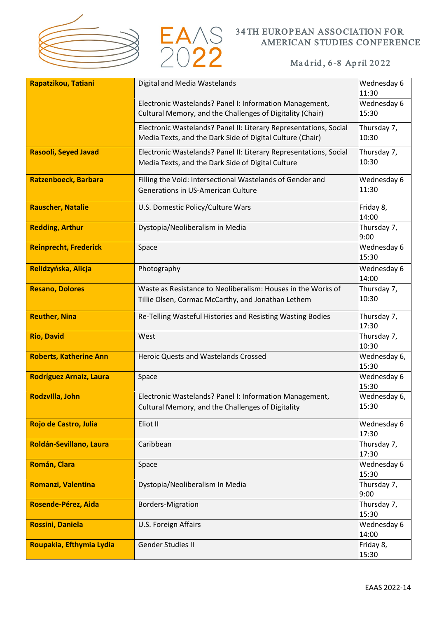



| Rapatzikou, Tatiani           | Digital and Media Wastelands                                                                                                   | Wednesday 6<br>11:30  |
|-------------------------------|--------------------------------------------------------------------------------------------------------------------------------|-----------------------|
|                               | Electronic Wastelands? Panel I: Information Management,<br>Cultural Memory, and the Challenges of Digitality (Chair)           | Wednesday 6<br>15:30  |
|                               | Electronic Wastelands? Panel II: Literary Representations, Social<br>Media Texts, and the Dark Side of Digital Culture (Chair) | Thursday 7,<br>10:30  |
| <b>Rasooli, Seyed Javad</b>   | Electronic Wastelands? Panel II: Literary Representations, Social<br>Media Texts, and the Dark Side of Digital Culture         | Thursday 7,<br>10:30  |
| Ratzenboeck, Barbara          | Filling the Void: Intersectional Wastelands of Gender and<br>Generations in US-American Culture                                | Wednesday 6<br>11:30  |
| <b>Rauscher, Natalie</b>      | U.S. Domestic Policy/Culture Wars                                                                                              | Friday 8,<br>14:00    |
| <b>Redding, Arthur</b>        | Dystopia/Neoliberalism in Media                                                                                                | Thursday 7,<br>9:00   |
| <b>Reinprecht, Frederick</b>  | Space                                                                                                                          | Wednesday 6<br>15:30  |
| Relidzyńska, Alicja           | Photography                                                                                                                    | Wednesday 6<br>14:00  |
| <b>Resano, Dolores</b>        | Waste as Resistance to Neoliberalism: Houses in the Works of<br>Tillie Olsen, Cormac McCarthy, and Jonathan Lethem             | Thursday 7,<br>10:30  |
| <b>Reuther, Nina</b>          | Re-Telling Wasteful Histories and Resisting Wasting Bodies                                                                     | Thursday 7,<br>17:30  |
| <b>Rio, David</b>             | West                                                                                                                           | Thursday 7,<br>10:30  |
| <b>Roberts, Katherine Ann</b> | Heroic Quests and Wastelands Crossed                                                                                           | Wednesday 6,<br>15:30 |
| Rodríguez Arnaiz, Laura       | Space                                                                                                                          | Wednesday 6<br>15:30  |
| Rodzvilla, John               | Electronic Wastelands? Panel I: Information Management,<br>Cultural Memory, and the Challenges of Digitality                   | Wednesday 6,<br>15:30 |
| Rojo de Castro, Julia         | Eliot II                                                                                                                       | Wednesday 6<br>17:30  |
| Roldán-Sevillano, Laura       | Caribbean                                                                                                                      | Thursday 7,<br>17:30  |
| Román, Clara                  | Space                                                                                                                          | Wednesday 6<br>15:30  |
| Romanzi, Valentina            | Dystopia/Neoliberalism In Media                                                                                                | Thursday 7,<br>9:00   |
| Rosende-Pérez, Aida           | <b>Borders-Migration</b>                                                                                                       | Thursday 7,<br>15:30  |
| <b>Rossini, Daniela</b>       | U.S. Foreign Affairs                                                                                                           | Wednesday 6<br>14:00  |
| Roupakia, Efthymia Lydia      | Gender Studies II                                                                                                              | Friday 8,<br>15:30    |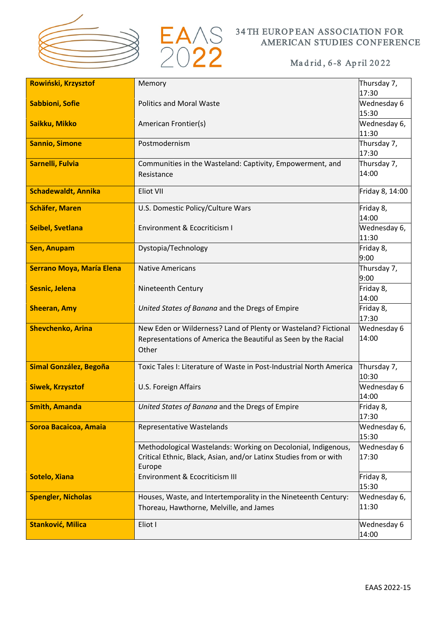



| Rowiński, Krzysztof              | Memory                                                                                                                                       | Thursday 7,           |
|----------------------------------|----------------------------------------------------------------------------------------------------------------------------------------------|-----------------------|
|                                  |                                                                                                                                              | 17:30                 |
| <b>Sabbioni, Sofie</b>           | <b>Politics and Moral Waste</b>                                                                                                              | Wednesday 6<br>15:30  |
| Saikku, Mikko                    | American Frontier(s)                                                                                                                         | Wednesday 6,<br>11:30 |
|                                  |                                                                                                                                              |                       |
| <b>Sannio, Simone</b>            | Postmodernism                                                                                                                                | Thursday 7,<br>17:30  |
| Sarnelli, Fulvia                 | Communities in the Wasteland: Captivity, Empowerment, and<br>Resistance                                                                      | Thursday 7,<br>14:00  |
| <b>Schadewaldt, Annika</b>       | Eliot VII                                                                                                                                    | Friday 8, 14:00       |
| <b>Schäfer, Maren</b>            | U.S. Domestic Policy/Culture Wars                                                                                                            | Friday 8,<br>14:00    |
| <b>Seibel, Svetlana</b>          | Environment & Ecocriticism I                                                                                                                 | Wednesday 6,<br>11:30 |
| <b>Sen, Anupam</b>               | Dystopia/Technology                                                                                                                          | Friday 8,<br>9:00     |
| <b>Serrano Moya, María Elena</b> | <b>Native Americans</b>                                                                                                                      | Thursday 7,<br>9:00   |
| <b>Sesnic, Jelena</b>            | Nineteenth Century                                                                                                                           | Friday 8,<br>14:00    |
| <b>Sheeran, Amy</b>              | United States of Banana and the Dregs of Empire                                                                                              | Friday 8,<br>17:30    |
| <b>Shevchenko, Arina</b>         | New Eden or Wilderness? Land of Plenty or Wasteland? Fictional<br>Representations of America the Beautiful as Seen by the Racial<br>Other    | Wednesday 6<br>14:00  |
| <b>Simal González, Begoña</b>    | Toxic Tales I: Literature of Waste in Post-Industrial North America                                                                          | Thursday 7,<br>10:30  |
| <b>Siwek, Krzysztof</b>          | U.S. Foreign Affairs                                                                                                                         | Wednesday 6<br>14:00  |
| <b>Smith, Amanda</b>             | United States of Banana and the Dregs of Empire                                                                                              | Friday 8,<br>17:30    |
| Soroa Bacaicoa, Amaia            | Representative Wastelands                                                                                                                    | Wednesday 6,<br>15:30 |
|                                  | Methodological Wastelands: Working on Decolonial, Indigenous,<br>Critical Ethnic, Black, Asian, and/or Latinx Studies from or with<br>Europe | Wednesday 6<br>17:30  |
| <b>Sotelo, Xiana</b>             | Environment & Ecocriticism III                                                                                                               | Friday 8,<br>15:30    |
| <b>Spengler, Nicholas</b>        | Houses, Waste, and Intertemporality in the Nineteenth Century:                                                                               | Wednesday 6,          |
|                                  | Thoreau, Hawthorne, Melville, and James                                                                                                      | 11:30                 |
| Stanković, Milica                | Eliot I                                                                                                                                      | Wednesday 6<br>14:00  |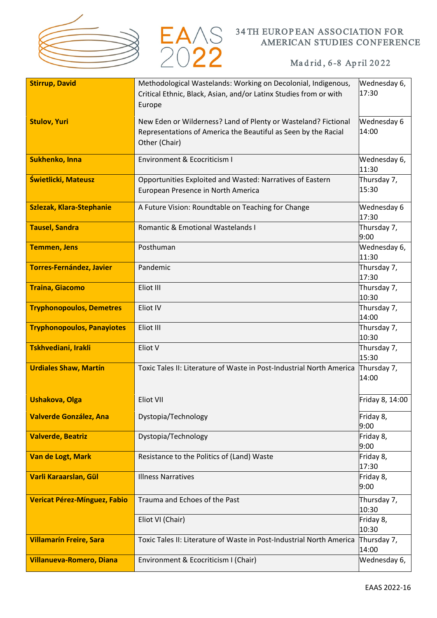



| <b>Stirrup, David</b>               | Methodological Wastelands: Working on Decolonial, Indigenous,        | Wednesday 6,    |
|-------------------------------------|----------------------------------------------------------------------|-----------------|
|                                     | Critical Ethnic, Black, Asian, and/or Latinx Studies from or with    | 17:30           |
|                                     |                                                                      |                 |
|                                     | Europe                                                               |                 |
| <b>Stulov, Yuri</b>                 | New Eden or Wilderness? Land of Plenty or Wasteland? Fictional       | Wednesday 6     |
|                                     | Representations of America the Beautiful as Seen by the Racial       | 14:00           |
|                                     | Other (Chair)                                                        |                 |
|                                     |                                                                      |                 |
| <b>Sukhenko, Inna</b>               | <b>Environment &amp; Ecocriticism I</b>                              | Wednesday 6,    |
|                                     |                                                                      | 11:30           |
| Świetlicki, Mateusz                 | Opportunities Exploited and Wasted: Narratives of Eastern            | Thursday 7,     |
|                                     | European Presence in North America                                   | 15:30           |
|                                     |                                                                      |                 |
| <b>Szlezak, Klara-Stephanie</b>     | A Future Vision: Roundtable on Teaching for Change                   | Wednesday 6     |
|                                     |                                                                      | 17:30           |
| <b>Tausel, Sandra</b>               | <b>Romantic &amp; Emotional Wastelands I</b>                         | Thursday 7,     |
|                                     |                                                                      | 9:00            |
| <b>Temmen, Jens</b>                 | Posthuman                                                            | Wednesday 6,    |
|                                     |                                                                      | 11:30           |
| <b>Torres-Fernández, Javier</b>     | Pandemic                                                             | Thursday 7,     |
|                                     |                                                                      | 17:30           |
|                                     |                                                                      |                 |
| <b>Traina, Giacomo</b>              | Eliot III                                                            | Thursday 7,     |
|                                     |                                                                      | 10:30           |
| <b>Tryphonopoulos, Demetres</b>     | Eliot IV                                                             | Thursday 7,     |
|                                     |                                                                      | 14:00           |
| <b>Tryphonopoulos, Panayiotes</b>   | Eliot III                                                            | Thursday 7,     |
|                                     |                                                                      | 10:30           |
| Tskhvediani, Irakli                 | Eliot V                                                              | Thursday 7,     |
|                                     |                                                                      | 15:30           |
| <b>Urdiales Shaw, Martín</b>        | Toxic Tales II: Literature of Waste in Post-Industrial North America | Thursday 7,     |
|                                     |                                                                      | 14:00           |
|                                     |                                                                      |                 |
| <b>Ushakova, Olga</b>               | Eliot VII                                                            | Friday 8, 14:00 |
|                                     |                                                                      |                 |
| <b>Valverde González, Ana</b>       | Dystopia/Technology                                                  | Friday 8,       |
|                                     |                                                                      | 9:00            |
| <b>Valverde, Beatriz</b>            | Dystopia/Technology                                                  | Friday 8,       |
|                                     |                                                                      | 9:00            |
| <b>Van de Logt, Mark</b>            | Resistance to the Politics of (Land) Waste                           | Friday 8,       |
|                                     |                                                                      | 17:30           |
| Varli Karaarslan, Gül               | <b>Illness Narratives</b>                                            | Friday 8,       |
|                                     |                                                                      | 9:00            |
| <b>Vericat Pérez-Mínguez, Fabio</b> | Trauma and Echoes of the Past                                        | Thursday 7,     |
|                                     |                                                                      | 10:30           |
|                                     | Eliot VI (Chair)                                                     | Friday 8,       |
|                                     |                                                                      | 10:30           |
| <b>Villamarín Freire, Sara</b>      | Toxic Tales II: Literature of Waste in Post-Industrial North America | Thursday 7,     |
|                                     |                                                                      | 14:00           |
| <b>Villanueva-Romero, Diana</b>     | Environment & Ecocriticism I (Chair)                                 | Wednesday 6,    |
|                                     |                                                                      |                 |